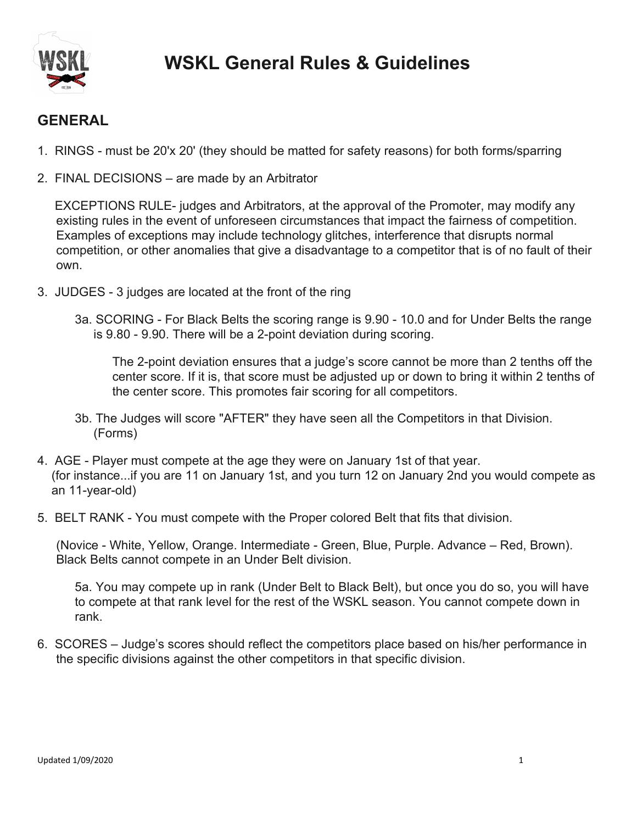

## **GENERAL**

- 1. RINGS must be 20'x 20' (they should be matted for safety reasons) for both forms/sparring
- 2. FINAL DECISIONS are made by an Arbitrator

 EXCEPTIONS RULE- judges and Arbitrators, at the approval of the Promoter, may modify any existing rules in the event of unforeseen circumstances that impact the fairness of competition. Examples of exceptions may include technology glitches, interference that disrupts normal competition, or other anomalies that give a disadvantage to a competitor that is of no fault of their own.

- 3. JUDGES 3 judges are located at the front of the ring
	- 3a. SCORING For Black Belts the scoring range is 9.90 10.0 and for Under Belts the range is 9.80 - 9.90. There will be a 2-point deviation during scoring.

The 2-point deviation ensures that a judge's score cannot be more than 2 tenths off the center score. If it is, that score must be adjusted up or down to bring it within 2 tenths of the center score. This promotes fair scoring for all competitors.

- 3b. The Judges will score "AFTER" they have seen all the Competitors in that Division. (Forms)
- 4. AGE Player must compete at the age they were on January 1st of that year. (for instance...if you are 11 on January 1st, and you turn 12 on January 2nd you would compete as an 11-year-old)
- 5. BELT RANK You must compete with the Proper colored Belt that fits that division.

(Novice - White, Yellow, Orange. Intermediate - Green, Blue, Purple. Advance – Red, Brown). Black Belts cannot compete in an Under Belt division.

5a. You may compete up in rank (Under Belt to Black Belt), but once you do so, you will have to compete at that rank level for the rest of the WSKL season. You cannot compete down in rank.

6. SCORES – Judge's scores should reflect the competitors place based on his/her performance in the specific divisions against the other competitors in that specific division.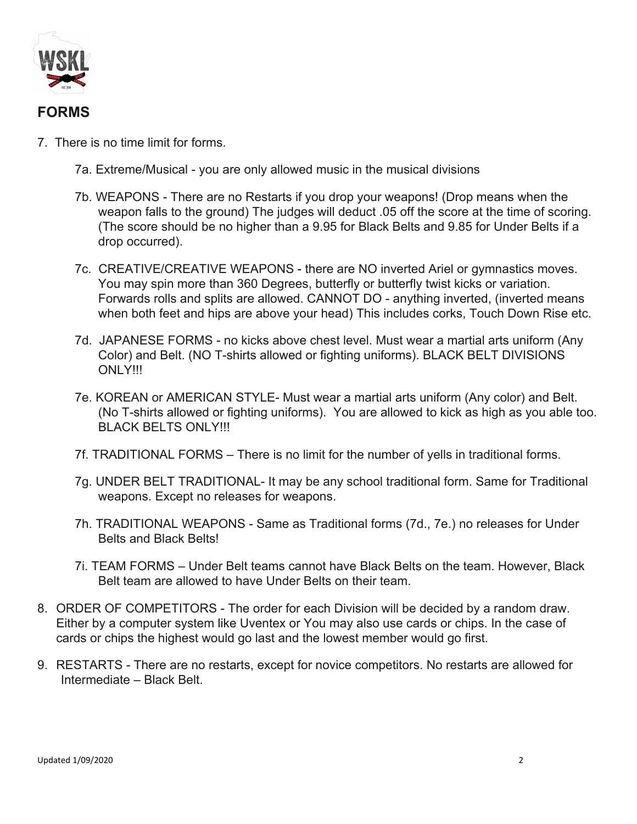

## **FORMS**

- 7. There is no time limit for forms.
	- 7a. Extreme/Musical you are only allowed music in the musical divisions
	- 7b. WEAPONS There are no Restarts if you drop your weapons! (Drop means when the weapon falls to the ground) The judges will deduct .05 off the score at the time of scoring. (The score should be no higher than a 9.95 for Black Belts and 9.85 for Under Belts if a drop occurred).
	- 7c. CREATIVE/CREATIVE WEAPONS there are NO inverted Ariel or gymnastics moves. You may spin more than 360 Degrees, butterfly or butterfly twist kicks or variation. Forwards rolls and splits are allowed. CANNOT DO - anything inverted, (inverted means when both feet and hips are above your head) This includes corks, Touch Down Rise etc.
	- 7d. JAPANESE FORMS no kicks above chest level. Must wear a martial arts uniform (Any Color) and Belt. (NO T-shirts allowed or fighting uniforms). BLACK BELT DIVISIONS ONLY!!!
	- 7e. KOREAN or AMERICAN STYLE- Must wear a martial arts uniform (Any color) and Belt. (No T-shirts allowed or fighting uniforms). You are allowed to kick as high as you able too. BLACK BELTS ONLY!!!
	- 7f. TRADITIONAL FORMS There is no limit for the number of yells in traditional forms.
	- 7g. UNDER BELT TRADITIONAL- It may be any school traditional form. Same for Traditional weapons. Except no releases for weapons.
	- 7h. TRADITIONAL WEAPONS Same as Traditional forms (7d., 7e.) no releases for Under Belts and Black Belts!
	- 7i. TEAM FORMS Under Belt teams cannot have Black Belts on the team. However, Black Belt team are allowed to have Under Belts on their team.
- 8. ORDER OF COMPETITORS The order for each Division will be decided by a random draw. Either by a computer system like Uventex or You may also use cards or chips. In the case of cards or chips the highest would go last and the lowest member would go first.
- 9. RESTARTS There are no restarts, except for novice competitors. No restarts are allowed for Intermediate – Black Belt.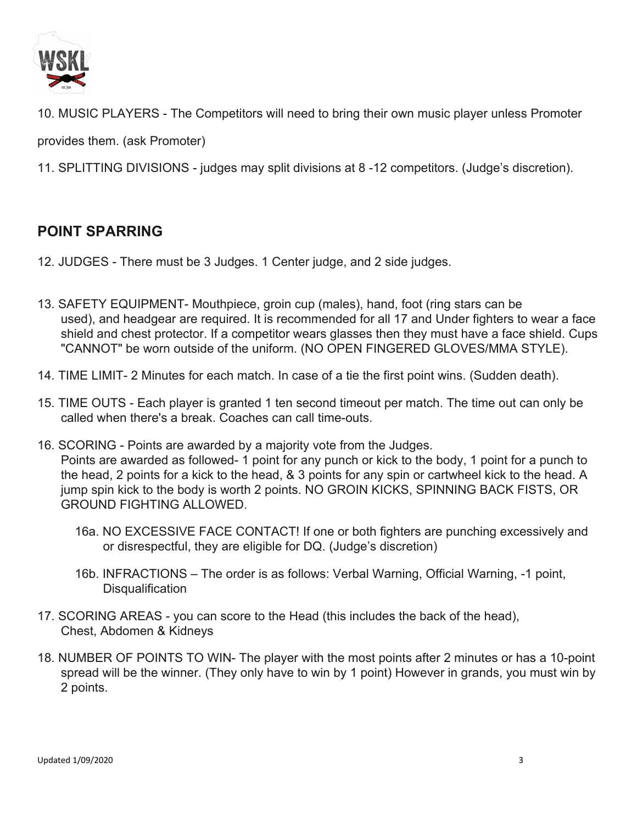

10. MUSIC PLAYERS - The Competitors will need to bring their own music player unless Promoter

provides them. (ask Promoter)

11. SPLITTING DIVISIONS - judges may split divisions at 8 -12 competitors. (Judge's discretion).

## **POINT SPARRING**

- 12. JUDGES There must be 3 Judges. 1 Center judge, and 2 side judges.
- 13. SAFETY EQUIPMENT- Mouthpiece, groin cup (males), hand, foot (ring stars can be used), and headgear are required. It is recommended for all 17 and Under fighters to wear a face shield and chest protector. If a competitor wears glasses then they must have a face shield. Cups "CANNOT" be worn outside of the uniform. (NO OPEN FINGERED GLOVES/MMA STYLE).
- 14. TIME LIMIT- 2 Minutes for each match. In case of a tie the first point wins. (Sudden death).
- 15. TIME OUTS Each player is granted 1 ten second timeout per match. The time out can only be called when there's a break. Coaches can call time-outs.
- 16. SCORING Points are awarded by a majority vote from the Judges. Points are awarded as followed- 1 point for any punch or kick to the body, 1 point for a punch to the head, 2 points for a kick to the head, & 3 points for any spin or cartwheel kick to the head. A jump spin kick to the body is worth 2 points. NO GROIN KICKS, SPINNING BACK FISTS, OR GROUND FIGHTING ALLOWED.
	- 16a. NO EXCESSIVE FACE CONTACT! If one or both fighters are punching excessively and or disrespectful, they are eligible for DQ. (Judge's discretion)
	- 16b. INFRACTIONS The order is as follows: Verbal Warning, Official Warning, -1 point, **Disqualification**
- 17. SCORING AREAS you can score to the Head (this includes the back of the head), Chest, Abdomen & Kidneys
- 18. NUMBER OF POINTS TO WIN- The player with the most points after 2 minutes or has a 10-point spread will be the winner. (They only have to win by 1 point) However in grands, you must win by 2 points.